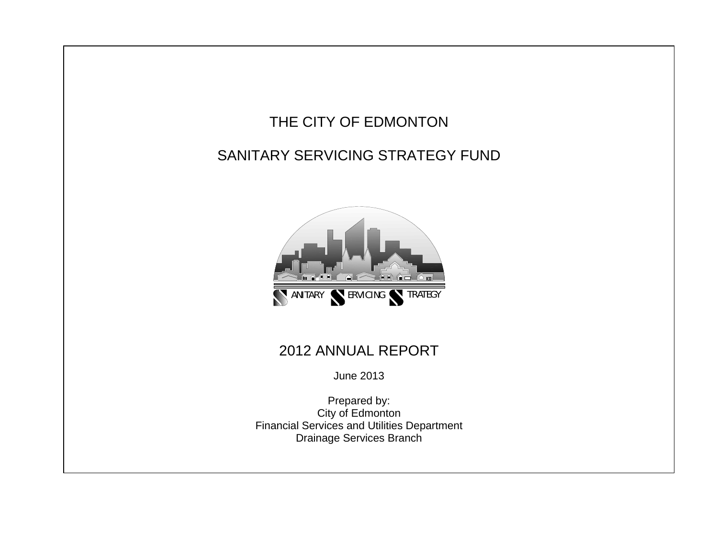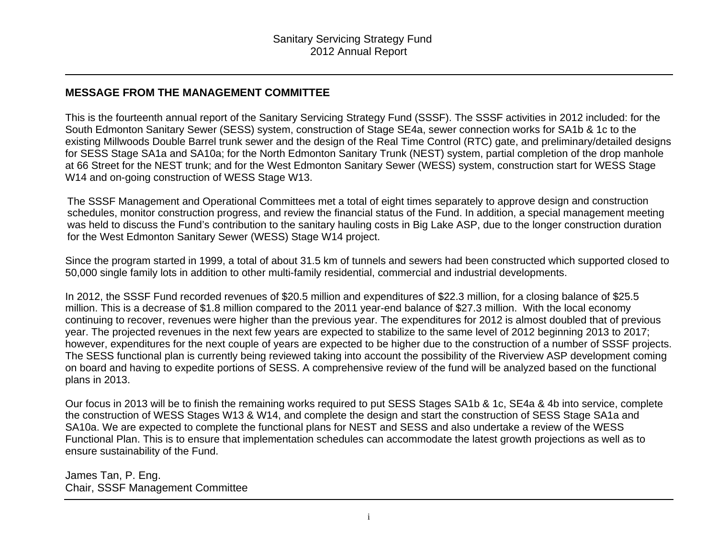#### **MESSAGE FROM THE MANAGEMENT COMMITTEE**

This is the fourteenth annual report of the Sanitary Servicing Strategy Fund (SSSF). The SSSF activities in 2012 included: for the South Edmonton Sanitary Sewer (SESS) system, construction of Stage SE4a, sewer connection works for SA1b & 1c to the existing Millwoods Double Barrel trunk sewer and the design of the Real Time Control (RTC) gate, and preliminary/detailed designs for SESS Stage SA1a and SA10a; for the North Edmonton Sanitary Trunk (NEST) system, partial completion of the drop manhole at 66 Street for the NEST trunk; and for the West Edmonton Sanitary Sewer (WESS) system, construction start for WESS Stage W14 and on-going construction of WESS Stage W13.

The SSSF Management and Operational Committees met a total of eight times separately to approve design and construction schedules, monitor construction progress, and review the financial status of the Fund. In addition, a special management meeting was held to discuss the Fund's contribution to the sanitary hauling costs in Big Lake ASP, due to the longer construction duration for the West Edmonton Sanitary Sewer (WESS) Stage W14 project.

Since the program started in 1999, a total of about 31.5 km of tunnels and sewers had been constructed which supported closed to 50,000 single family lots in addition to other multi-family residential, commercial and industrial developments.

In 2012, the SSSF Fund recorded revenues of \$20.5 million and expenditures of \$22.3 million, for a closing balance of \$25.5 million. This is a decrease of \$1.8 million compared to the 2011 year-end balance of \$27.3 million. With the local economy continuing to recover, revenues were higher than the previous year. The expenditures for 2012 is almost doubled that of previous year. The projected revenues in the next few years are expected to stabilize to the same level of 2012 beginning 2013 to 2017; however, expenditures for the next couple of years are expected to be higher due to the construction of a number of SSSF projects. The SESS functional plan is currently being reviewed taking into account the possibility of the Riverview ASP development coming on board and having to expedite portions of SESS. A comprehensive review of the fund will be analyzed based on the functional plans in 2013.

Our focus in 2013 will be to finish the remaining works required to put SESS Stages SA1b & 1c, SE4a & 4b into service, complete the construction of WESS Stages W13 & W14, and complete the design and start the construction of SESS Stage SA1a and SA10a. We are expected to complete the functional plans for NEST and SESS and also undertake a review of the WESS Functional Plan. This is to ensure that implementation schedules can accommodate the latest growth projections as well as to ensure sustainability of the Fund.

James Tan, P. Eng. Chair, SSSF Management Committee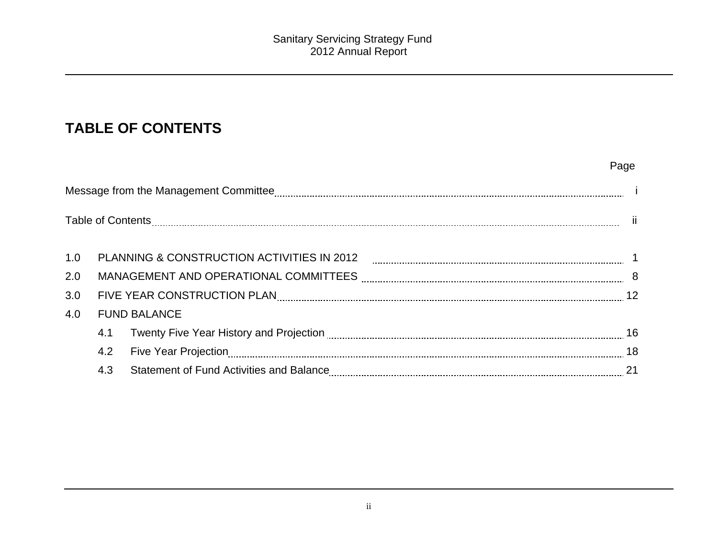# **TABLE OF CONTENTS**

|     |     |                                                              | Page |
|-----|-----|--------------------------------------------------------------|------|
|     |     |                                                              |      |
|     |     |                                                              |      |
| 1.0 |     |                                                              |      |
| 2.0 |     |                                                              |      |
| 3.0 |     | FIVE YEAR CONSTRUCTION PLAN MARA MARKET AND THE TIME TO A 12 |      |
| 4.0 |     | <b>FUND BALANCE</b>                                          |      |
|     | 4.1 |                                                              |      |
|     | 4.2 |                                                              |      |
|     | 4.3 |                                                              |      |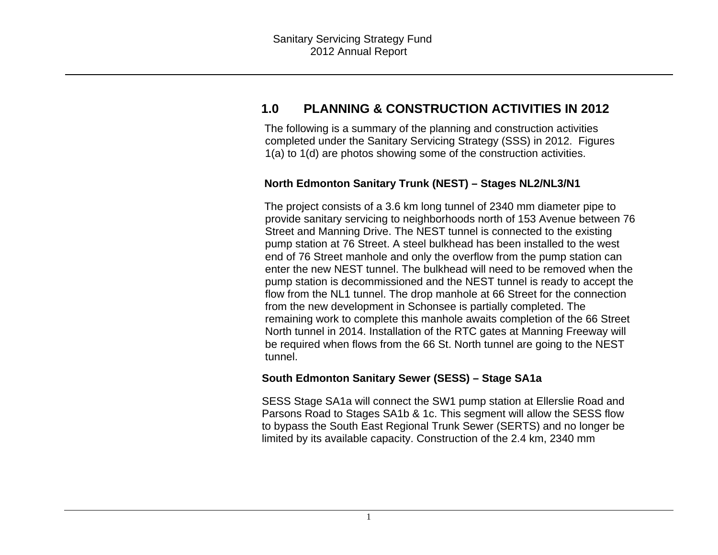## **1.0 PLANNING & CONSTRUCTION ACTIVITIES IN 2012**

The following is a summary of the planning and construction activities completed under the Sanitary Servicing Strategy (SSS) in 2012. Figures 1(a) to 1(d) are photos showing some of the construction activities.

#### **North Edmonton Sanitary Trunk (NEST) – Stages NL2/NL3/N1**

The project consists of a 3.6 km long tunnel of 2340 mm diameter pipe to provide sanitary servicing to neighborhoods north of 153 Avenue between 76 Street and Manning Drive. The NEST tunnel is connected to the existing pump station at 76 Street. A steel bulkhead has been installed to the west end of 76 Street manhole and only the overflow from the pump station can enter the new NEST tunnel. The bulkhead will need to be removed when the pump station is decommissioned and the NEST tunnel is ready to accept the flow from the NL1 tunnel. The drop manhole at 66 Street for the connection from the new development in Schonsee is partially completed. The remaining work to complete this manhole awaits completion of the 66 Street North tunnel in 2014. Installation of the RTC gates at Manning Freeway will be required when flows from the 66 St. North tunnel are going to the NEST tunnel.

#### **South Edmonton Sanitary Sewer (SESS) – Stage SA1a**

SESS Stage SA1a will connect the SW1 pump station at Ellerslie Road and Parsons Road to Stages SA1b & 1c. This segment will allow the SESS flow to bypass the South East Regional Trunk Sewer (SERTS) and no longer be limited by its available capacity. Construction of the 2.4 km, 2340 mm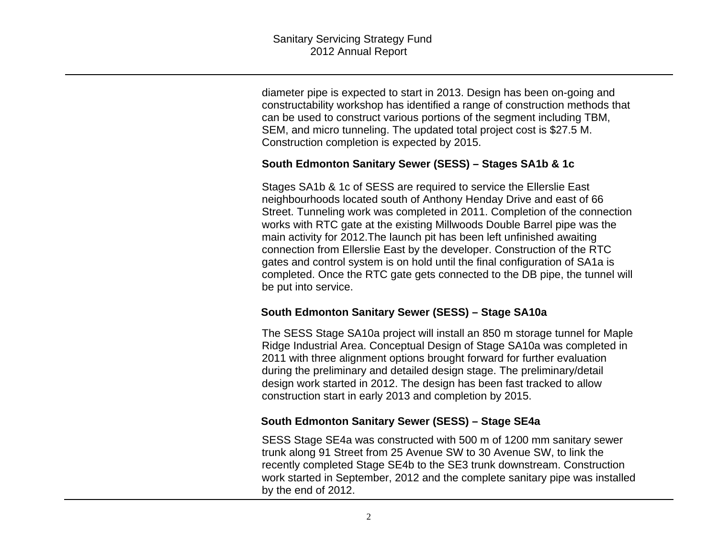diameter pipe is expected to start in 2013. Design has been on-going and constructability workshop has identified a range of construction methods that can be used to construct various portions of the segment including TBM, SEM, and micro tunneling. The updated total project cost is \$27.5 M. Construction completion is expected by 2015.

#### **South Edmonton Sanitary Sewer (SESS) – Stages SA1b & 1c**

Stages SA1b & 1c of SESS are required to service the Ellerslie East neighbourhoods located south of Anthony Henday Drive and east of 66 Street. Tunneling work was completed in 2011. Completion of the connection works with RTC gate at the existing Millwoods Double Barrel pipe was the main activity for 2012.The launch pit has been left unfinished awaiting connection from Ellerslie East by the developer. Construction of the RTC gates and control system is on hold until the final configuration of SA1a is completed. Once the RTC gate gets connected to the DB pipe, the tunnel will be put into service.

#### **South Edmonton Sanitary Sewer (SESS) – Stage SA10a**

The SESS Stage SA10a project will install an 850 m storage tunnel for Maple Ridge Industrial Area. Conceptual Design of Stage SA10a was completed in 2011 with three alignment options brought forward for further evaluation during the preliminary and detailed design stage. The preliminary/detail design work started in 2012. The design has been fast tracked to allow construction start in early 2013 and completion by 2015.

#### **South Edmonton Sanitary Sewer (SESS) – Stage SE4a**

SESS Stage SE4a was constructed with 500 m of 1200 mm sanitary sewer trunk along 91 Street from 25 Avenue SW to 30 Avenue SW, to link the recently completed Stage SE4b to the SE3 trunk downstream. Construction work started in September, 2012 and the complete sanitary pipe was installed by the end of 2012.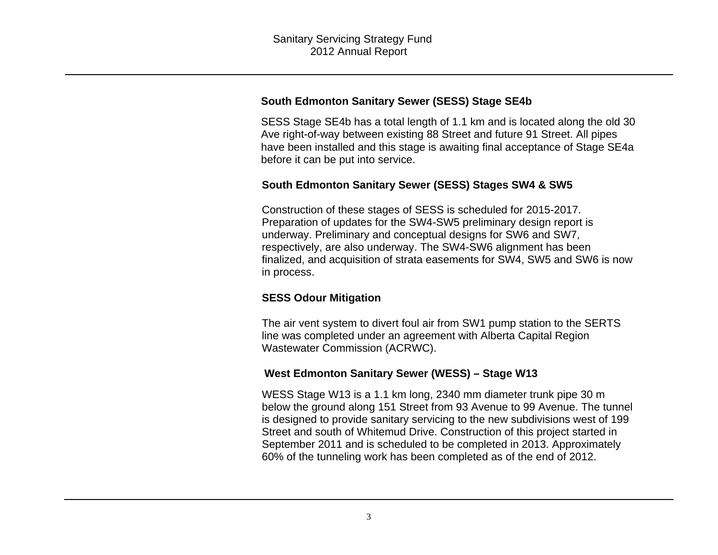#### **South Edmonton Sanitary Sewer (SESS) Stage SE4b**

SESS Stage SE4b has a total length of 1.1 km and is located along the old 30 Ave right-of-way between existing 88 Street and future 91 Street. All pipes have been installed and this stage is awaiting final acceptance of Stage SE4a before it can be put into service.

#### **South Edmonton Sanitary Sewer (SESS) Stages SW4 & SW5**

Construction of these stages of SESS is scheduled for 2015-2017. Preparation of updates for the SW4-SW5 preliminary design report is underway. Preliminary and conceptual designs for SW6 and SW7, respectively, are also underway. The SW4-SW6 alignment has been finalized, and acquisition of strata easements for SW4, SW5 and SW6 is now in process.

### **SESS Odour Mitigation**

The air vent system to divert foul air from SW1 pump station to the SERTS line was completed under an agreement with Alberta Capital Region Wastewater Commission (ACRWC).

### **West Edmonton Sanitary Sewer (WESS) – Stage W13**

WESS Stage W13 is a 1.1 km long, 2340 mm diameter trunk pipe 30 m below the ground along 151 Street from 93 Avenue to 99 Avenue. The tunnel is designed to provide sanitary servicing to the new subdivisions west of 199 Street and south of Whitemud Drive. Construction of this project started in September 2011 and is scheduled to be completed in 2013. Approximately 60% of the tunneling work has been completed as of the end of 2012.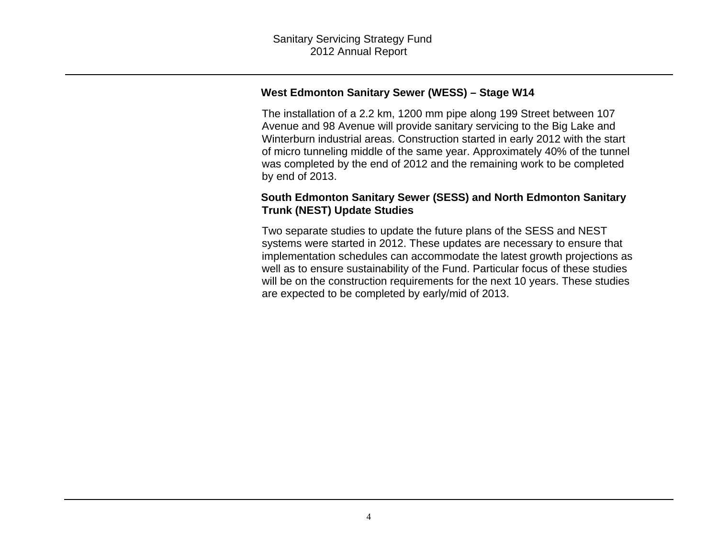#### **West Edmonton Sanitary Sewer (WESS) – Stage W14**

The installation of a 2.2 km, 1200 mm pipe along 199 Street between 107 Avenue and 98 Avenue will provide sanitary servicing to the Big Lake and Winterburn industrial areas. Construction started in early 2012 with the start of micro tunneling middle of the same year. Approximately 40% of the tunnel was completed by the end of 2012 and the remaining work to be completed by end of 2013.

#### **South Edmonton Sanitary Sewer (SESS) and North Edmonton Sanitary Trunk (NEST) Update Studies**

Two separate studies to update the future plans of the SESS and NEST systems were started in 2012. These updates are necessary to ensure that implementation schedules can accommodate the latest growth projections as well as to ensure sustainability of the Fund. Particular focus of these studies will be on the construction requirements for the next 10 years. These studies are expected to be completed by early/mid of 2013.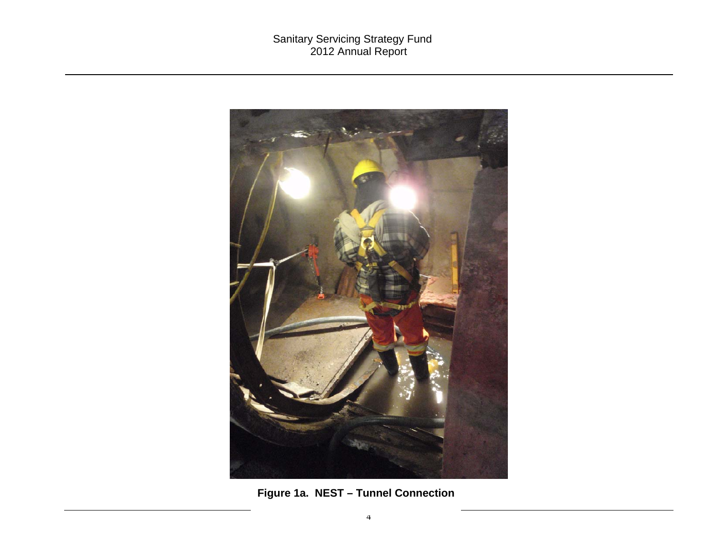

**Figure 1a. NEST – Tunnel Connection**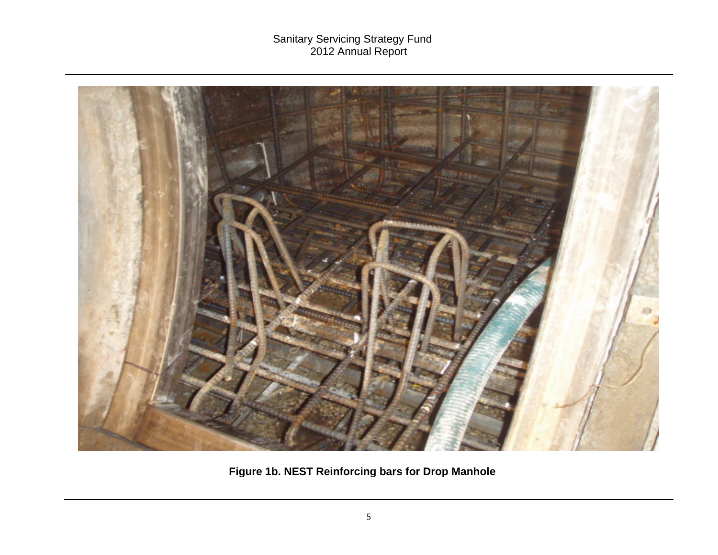

**Fi gure 1b. NEST Reinforcin g bars for Dro p Manhole**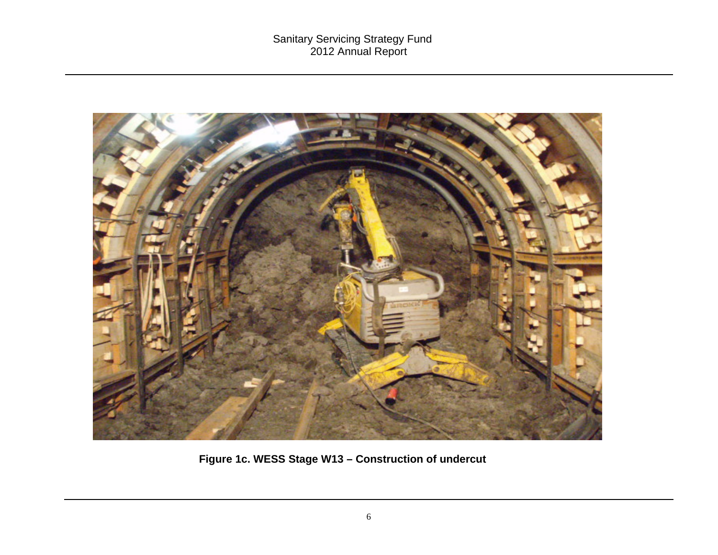

**Figure 1c. WESS Stage W13 – Construction of undercut**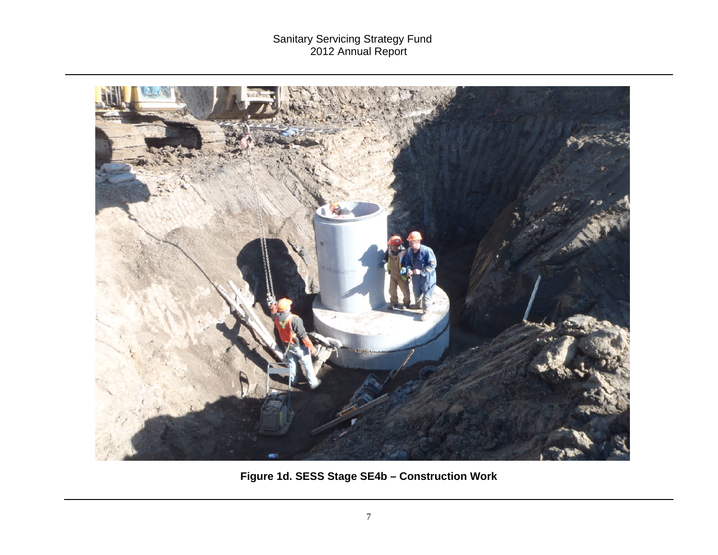

**Figure 1d. SESS Stage SE4b – Construction Work**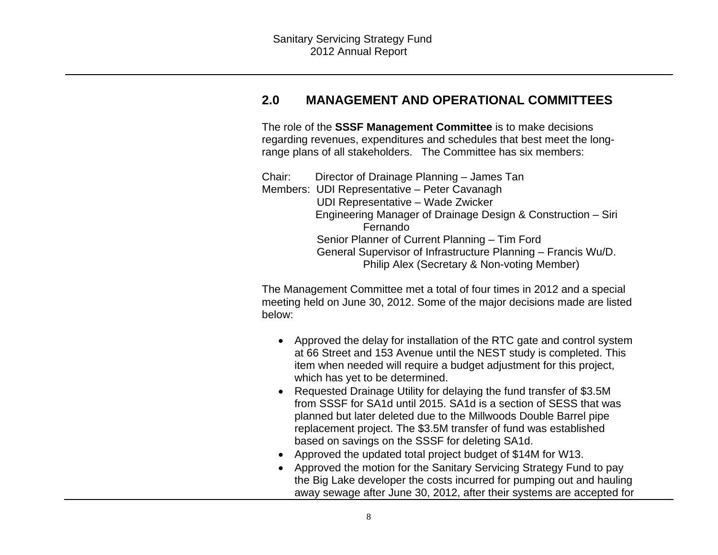### **2.0 MANAGEMENT AND OPERATIONAL COMMITTEES**

The role of the **SSSF Management Committee** is to make decisions regarding revenues, expenditures and schedules that best meet the longrange plans of all stakeholders. The Committee has six members:

Chair: Director of Drainage Planning – James Tan Members: UDI Representative – Peter Cavanagh UDI Representative – Wade Zwicker Engineering Manager of Drainage Design & Construction – Siri Fernando Senior Planner of Current Planning – Tim Ford General Supervisor of Infrastructure Planning – Francis Wu/D. Philip Alex (Secretary & Non-voting Member)

The Management Committee met a total of four times in 2012 and a special meeting held on June 30, 2012. Some of the major decisions made are listed below:

- Approved the delay for installation of the RTC gate and control system at 66 Street and 153 Avenue until the NEST study is completed. This item when needed will require a budget adjustment for this project, which has yet to be determined.
- Requested Drainage Utility for delaying the fund transfer of \$3.5M from SSSF for SA1d until 2015. SA1d is a section of SESS that was planned but later deleted due to the Millwoods Double Barrel pipe replacement project. The \$3.5M transfer of fund was established based on savings on the SSSF for deleting SA1d.
- Approved the updated total project budget of \$14M for W13.
- Approved the motion for the Sanitary Servicing Strategy Fund to pay the Big Lake developer the costs incurred for pumping out and hauling away sewage after June 30, 2012, after their systems are accepted for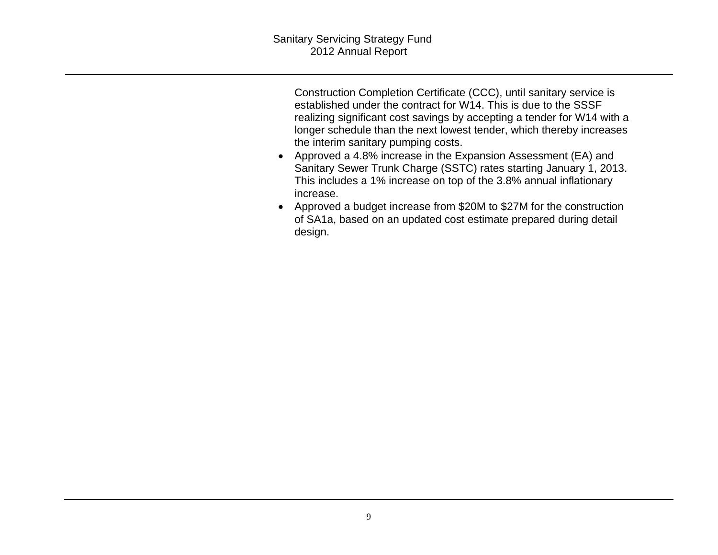Construction Completion Certificate (CCC), until sanitary service is established under the contract for W14. This is due to the SSSF realizing significant cost savings by accepting a tender for W14 with a longer schedule than the next lowest tender, which thereby increases the interim sanitary pumping costs.

- Approved a 4.8% increase in the Expansion Assessment (EA) and Sanitary Sewer Trunk Charge (SSTC) rates starting January 1, 2013. This includes a 1% increase on top of the 3.8% annual inflationary increase.
- Approved a budget increase from \$20M to \$27M for the construction of SA1a, based on an updated cost estimate prepared during detail design.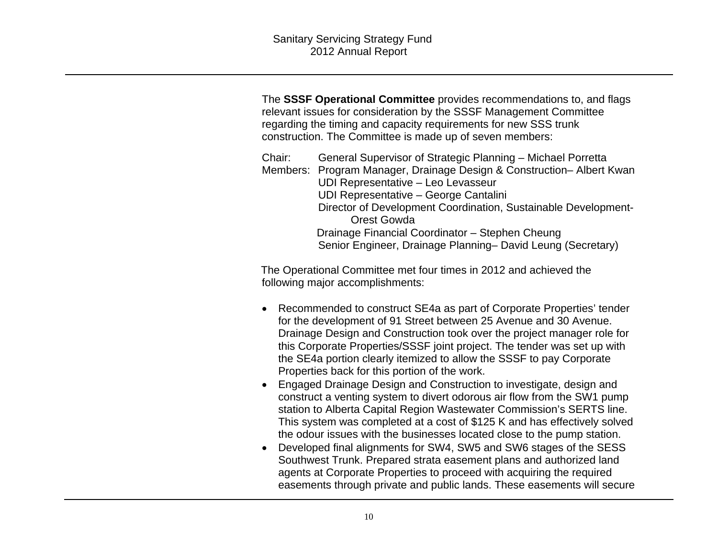The **SSSF Operational Committee** provides recommendations to, and flags relevant issues for consideration by the SSSF Management Committee regarding the timing and capacity requirements for new SSS trunk construction. The Committee is made up of seven members:

Chair: General Supervisor of Strategic Planning – Michael Porretta Members: Program Manager, Drainage Design & Construction– Albert Kwan UDI Representative – Leo Levasseur UDI Representative – George Cantalini Director of Development Coordination, Sustainable Development-Orest Gowda Drainage Financial Coordinator – Stephen Cheung Senior Engineer, Drainage Planning– David Leung (Secretary)

The Operational Committee met four times in 2012 and achieved the following major accomplishments:

- Recommended to construct SE4a as part of Corporate Properties' tender for the development of 91 Street between 25 Avenue and 30 Avenue. Drainage Design and Construction took over the project manager role for this Corporate Properties/SSSF joint project. The tender was set up with the SE4a portion clearly itemized to allow the SSSF to pay Corporate Properties back for this portion of the work.
- Engaged Drainage Design and Construction to investigate, design and construct a venting system to divert odorous air flow from the SW1 pump station to Alberta Capital Region Wastewater Commission's SERTS line. This system was completed at a cost of \$125 K and has effectively solved the odour issues with the businesses located close to the pump station.
- Developed final alignments for SW4, SW5 and SW6 stages of the SESS Southwest Trunk. Prepared strata easement plans and authorized land agents at Corporate Properties to proceed with acquiring the required easements through private and public lands. These easements will secure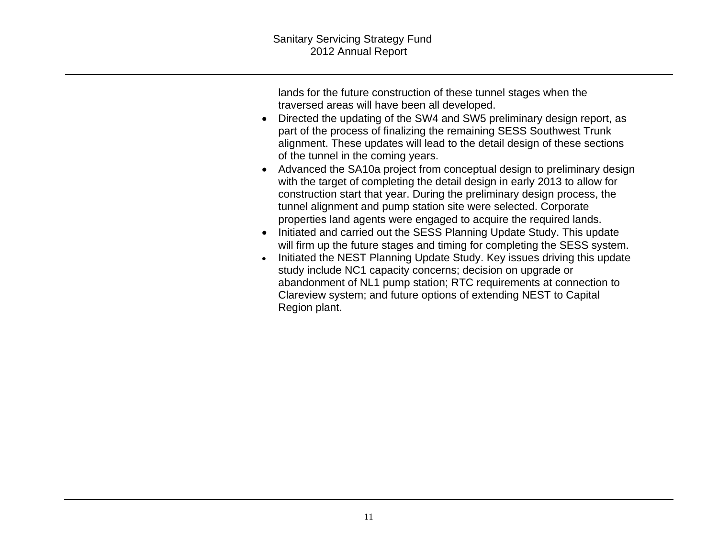lands for the future construction of these tunnel stages when the traversed areas will have been all developed.

- Directed the updating of the SW4 and SW5 preliminary design report, as part of the process of finalizing the remaining SESS Southwest Trunk alignment. These updates will lead to the detail design of these sections of the tunnel in the coming years.
- Advanced the SA10a project from conceptual design to preliminary design with the target of completing the detail design in early 2013 to allow for construction start that year. During the preliminary design process, the tunnel alignment and pump station site were selected. Corporate properties land agents were engaged to acquire the required lands.
- Initiated and carried out the SESS Planning Update Study. This update will firm up the future stages and timing for completing the SESS system.
- Initiated the NEST Planning Update Study. Key issues driving this update study include NC1 capacity concerns; decision on upgrade or abandonment of NL1 pump station; RTC requirements at connection to Clareview system; and future options of extending NEST to Capital Region plant.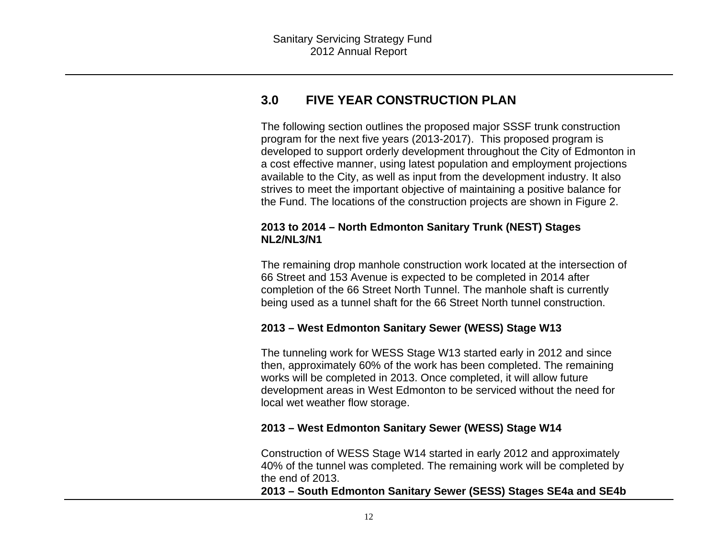### **3.0 FIVE YEAR CONSTRUCTION PLAN**

The following section outlines the proposed major SSSF trunk construction program for the next five years (2013-2017). This proposed program is developed to support orderly development throughout the City of Edmonton in a cost effective manner, using latest population and employment projections available to the City, as well as input from the development industry. It also strives to meet the important objective of maintaining a positive balance for the Fund. The locations of the construction projects are shown in Figure 2.

#### **2013 to 2014 – North Edmonton Sanitary Trunk (NEST) Stages NL2/NL3/N1**

The remaining drop manhole construction work located at the intersection of 66 Street and 153 Avenue is expected to be completed in 2014 after completion of the 66 Street North Tunnel. The manhole shaft is currently being used as a tunnel shaft for the 66 Street North tunnel construction.

#### **2013 – West Edmonton Sanitary Sewer (WESS) Stage W13**

The tunneling work for WESS Stage W13 started early in 2012 and since then, approximately 60% of the work has been completed. The remaining works will be completed in 2013. Once completed, it will allow future development areas in West Edmonton to be serviced without the need for local wet weather flow storage.

#### **2013 – West Edmonton Sanitary Sewer (WESS) Stage W14**

Construction of WESS Stage W14 started in early 2012 and approximately 40% of the tunnel was completed. The remaining work will be completed by the end of 2013.

**2013 – South Edmonton Sanitary Sewer (SESS) Stages SE4a and SE4b**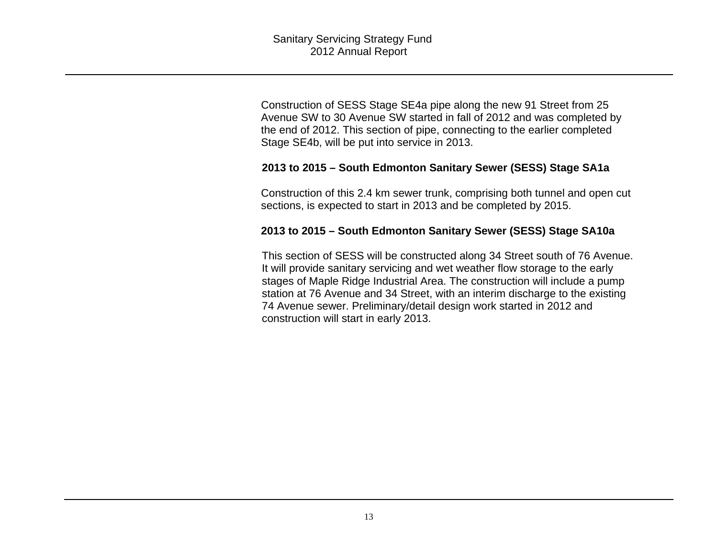Construction of SESS Stage SE4a pipe along the new 91 Street from 25 Avenue SW to 30 Avenue SW started in fall of 2012 and was completed by the end of 2012. This section of pipe, connecting to the earlier completed Stage SE4b, will be put into service in 2013.

#### **2013 to 2015 – South Edmonton Sanitary Sewer (SESS) Stage SA1a**

Construction of this 2.4 km sewer trunk, comprising both tunnel and open cut sections, is expected to start in 2013 and be completed by 2015.

#### **2013 to 2015 – South Edmonton Sanitary Sewer (SESS) Stage SA10a**

This section of SESS will be constructed along 34 Street south of 76 Avenue. It will provide sanitary servicing and wet weather flow storage to the early stages of Maple Ridge Industrial Area. The construction will include a pump station at 76 Avenue and 34 Street, with an interim discharge to the existing 74 Avenue sewer. Preliminary/detail design work started in 2012 and construction will start in early 2013.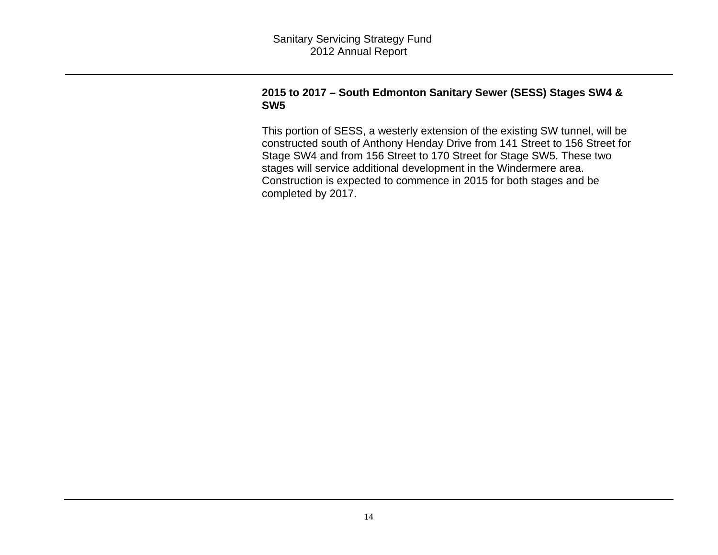#### **2015 to 2017 – South Edmonton Sanitary Sewer (SESS) Stages SW4 & SW5**

This portion of SESS, a westerly extension of the existing SW tunnel, will be constructed south of Anthony Henday Drive from 141 Street to 156 Street for Stage SW4 and from 156 Street to 170 Street for Stage SW5. These two stages will service additional development in the Windermere area. Construction is expected to commence in 2015 for both stages and be completed by 2017.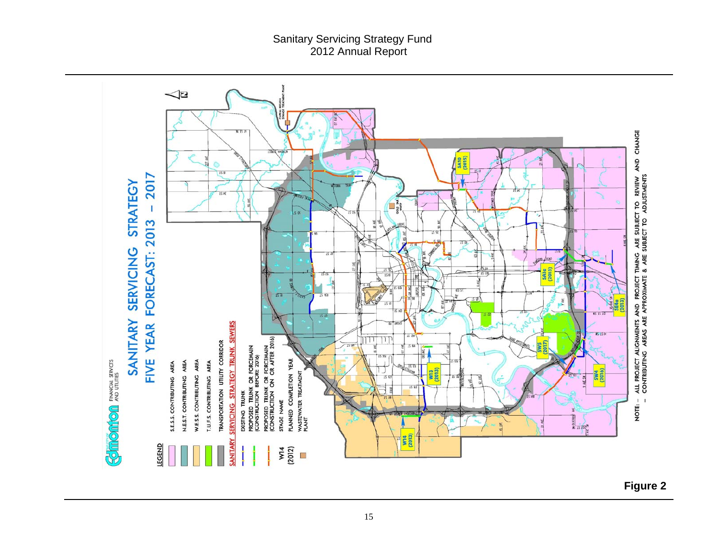

**Figure 2**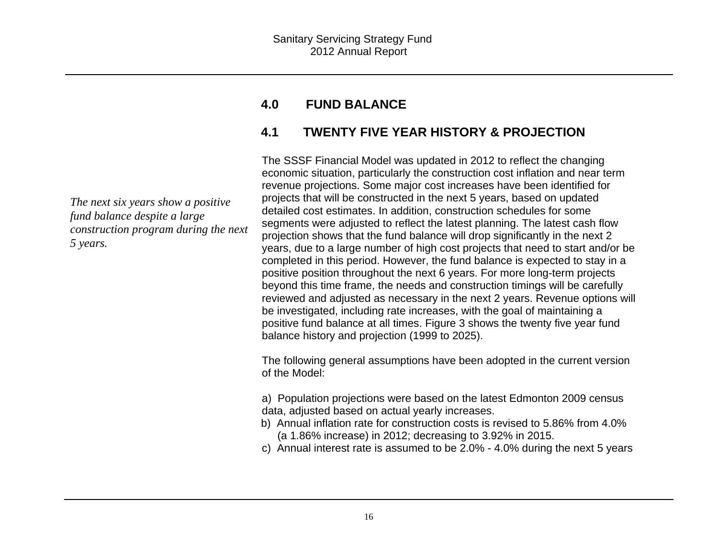#### **4.0FUND BALANCE**

## **4.1 TWENTY FIVE YEAR HISTORY & PROJECTION**

The SSSF Financial Model was updated in 2012 to reflect the changing economic situation, particularly the construction cost inflation and near term revenue projections. Some major cost increases have been identified for projects that will be constructed in the next 5 years, based on updated detailed cost estimates. In addition, construction schedules for some segments were adjusted to reflect the latest planning. The latest cash flow projection shows that the fund balance will drop significantly in the next 2 years, due to a large number of high cost projects that need to start and/or be completed in this period. However, the fund balance is expected to stay in a positive position throughout the next 6 years. For more long-term projects beyond this time frame, the needs and construction timings will be carefully reviewed and adjusted as necessary in the next 2 years. Revenue options will be investigated, including rate increases, with the goal of maintaining a positive fund balance at all times. Figure 3 shows the twenty five year fund balance history and projection (1999 to 2025).

The following general assumptions have been adopted in the current version of the Model:

a) Population projections were based on the latest Edmonton 2009 census data, adjusted based on actual yearly increases.

- b) Annual inflation rate for construction costs is revised to 5.86% from 4.0% (a 1.86% increase) in 2012; decreasing to 3.92% in 2015.
- c) Annual interest rate is assumed to be 2.0% 4.0% during the next 5 years

*The next six years show a positive fund balance despite a large construction program during the next 5 years.*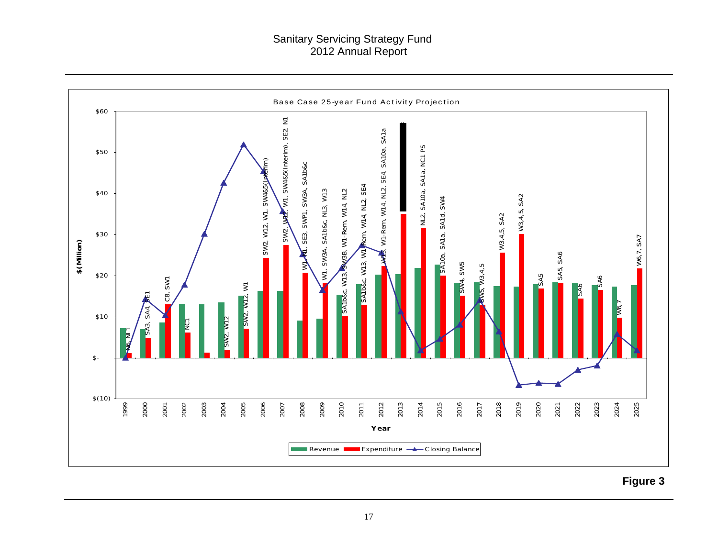#### Sanitary Servicing Strategy Fund 2012 Annual Report



**Figure 3**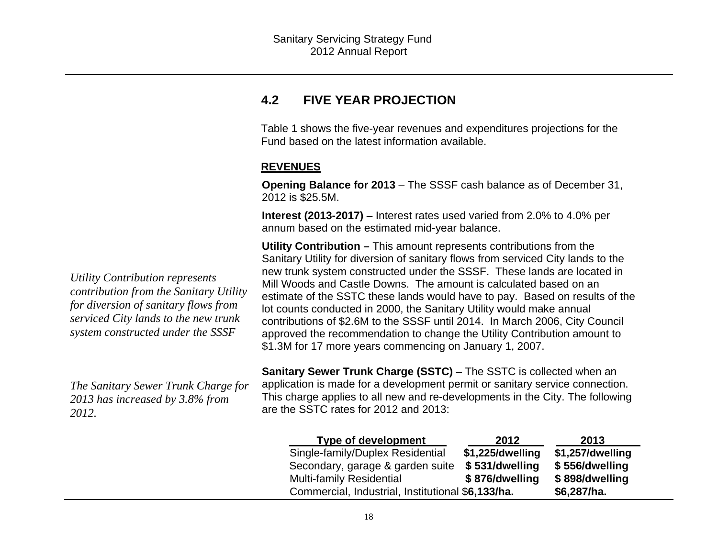### **4.2 FIVE YEAR PROJECTION**

Table 1 shows the five-year revenues and expenditures projections for the Fund based on the latest information available.

#### **REVENUES**

**Opening Balance for 2013** – The SSSF cash balance as of December 31, 2012 is \$25.5M.

**Interest (2013-2017)** – Interest rates used varied from 2.0% to 4.0% per annum based on the estimated mid-year balance.

**Utility Contribution –** This amount represents contributions from the Sanitary Utility for diversion of sanitary flows from serviced City lands to the new trunk system constructed under the SSSF. These lands are located in Mill Woods and Castle Downs. The amount is calculated based on an estimate of the SSTC these lands would have to pay. Based on results of the lot counts conducted in 2000, the Sanitary Utility would make annual contributions of \$2.6M to the SSSF until 2014. In March 2006, City Council approved the recommendation to change the Utility Contribution amount to \$1.3M for 17 more years commencing on January 1, 2007.

**Sanitary Sewer Trunk Charge (SSTC)** – The SSTC is collected when an application is made for a development permit or sanitary service connection. This charge applies to all new and re-developments in the City. The following are the SSTC rates for 2012 and 2013:

| <b>Type of development</b>                        | 2012             | 2013             |
|---------------------------------------------------|------------------|------------------|
| Single-family/Duplex Residential                  | \$1,225/dwelling | \$1,257/dwelling |
| Secondary, garage & garden suite                  | \$531/dwelling   | \$556/dwelling   |
| <b>Multi-family Residential</b>                   | \$876/dwelling   | \$898/dwelling   |
| Commercial, Industrial, Institutional \$6,133/ha. |                  | \$6,287/ha.      |

*Utility Contribution represents contribution from the Sanitary Utility for diversion of sanitary flows from serviced City lands to the new trunk system constructed under the SSSF* 

*The Sanitary Sewer Trunk Charge for 2013 has increased by 3.8% from 2012.*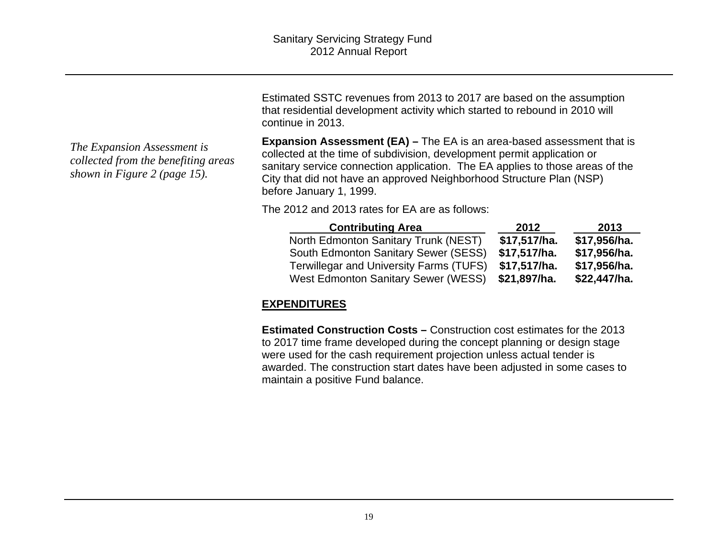Estimated SSTC revenues from 2013 to 2017 are based on the assumption that residential development activity which started to rebound in 2010 will continue in 2013.

*The Expansion Assessment is collected from the benefiting areas shown in Figure 2 (page 15).* 

**Expansion Assessment (EA) – The EA is an area-based assessment that is** collected at the time of subdivision, development permit application or sanitary service connection application. The EA applies to those areas of the City that did not have an approved Neighborhood Structure Plan (NSP) before January 1, 1999.

The 2012 and 2013 rates for EA are as follows:

| <b>Contributing Area</b>                       | 2012         | 2013         |
|------------------------------------------------|--------------|--------------|
| North Edmonton Sanitary Trunk (NEST)           | \$17,517/ha. | \$17,956/ha. |
| South Edmonton Sanitary Sewer (SESS)           | \$17,517/ha. | \$17,956/ha. |
| <b>Terwillegar and University Farms (TUFS)</b> | \$17,517/ha. | \$17,956/ha. |
| West Edmonton Sanitary Sewer (WESS)            | \$21,897/ha. | \$22,447/ha. |

### **EXPENDITURES**

**Estimated Construction Costs –** Construction cost estimates for the 2013 to 2017 time frame developed during the concept planning or design stage were used for the cash requirement projection unless actual tender is awarded. The construction start dates have been adjusted in some cases to maintain a positive Fund balance.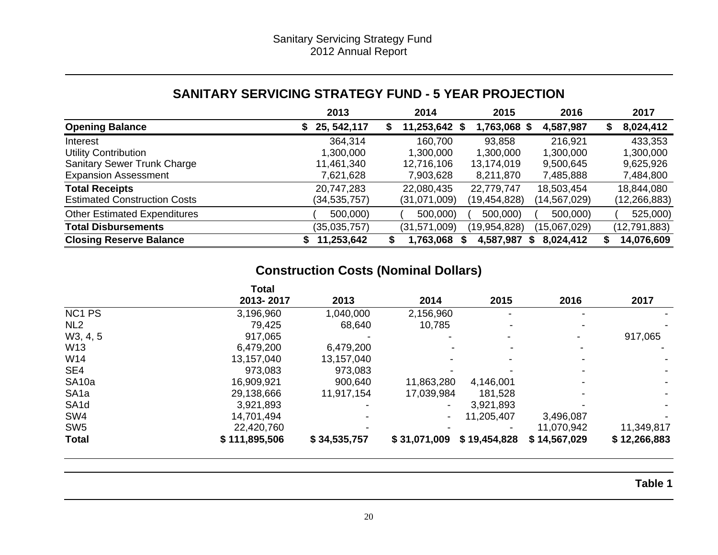### **SANITARY SERVICING STRATEGY FUND - 5 YEAR PROJECTION**

|                                     | 2013         | 2014          | 2015         | 2016         | 2017            |
|-------------------------------------|--------------|---------------|--------------|--------------|-----------------|
| <b>Opening Balance</b>              | 25, 542, 117 | 11,253,642 \$ | 1,763,068 \$ | 4,587,987    | 8,024,412<br>S. |
| Interest                            | 364,314      | 160,700       | 93,858       | 216,921      | 433,353         |
| <b>Utility Contribution</b>         | 1,300,000    | 1,300,000     | 1,300,000    | 1,300,000    | 1,300,000       |
| <b>Sanitary Sewer Trunk Charge</b>  | 11,461,340   | 12,716,106    | 13,174,019   | 9,500,645    | 9,625,926       |
| <b>Expansion Assessment</b>         | 7,621,628    | 7,903,628     | 8,211,870    | 7,485,888    | 7,484,800       |
| <b>Total Receipts</b>               | 20,747,283   | 22,080,435    | 22,779,747   | 18,503,454   | 18,844,080      |
| <b>Estimated Construction Costs</b> | (34,535,757) | (31,071,009)  | (19,454,828) | (14,567,029) | (12,266,883)    |
| <b>Other Estimated Expenditures</b> | 500,000)     | 500,000)      | 500,000)     | 500,000)     | 525,000)        |
| <b>Total Disbursements</b>          | (35,035,757) | (31,571,009)  | (19,954,828) | (15,067,029) | (12, 791, 883)  |
| <b>Closing Reserve Balance</b>      | 11,253,642   | 1,763,068     | 4,587,987    | 8,024,412    | 14,076,609      |

# **Construction Costs (Nominal Dollars)**

|                    | <b>Total</b>  |              |                |              |              |              |
|--------------------|---------------|--------------|----------------|--------------|--------------|--------------|
|                    | 2013-2017     | 2013         | 2014           | 2015         | 2016         | 2017         |
| NC <sub>1</sub> PS | 3,196,960     | 1,040,000    | 2,156,960      |              |              |              |
| NL <sub>2</sub>    | 79,425        | 68,640       | 10,785         |              |              |              |
| W3, 4, 5           | 917,065       |              |                |              |              | 917,065      |
| W13                | 6,479,200     | 6,479,200    |                |              |              |              |
| W14                | 13,157,040    | 13,157,040   |                |              |              |              |
| SE4                | 973,083       | 973,083      |                |              |              |              |
| SA <sub>10a</sub>  | 16,909,921    | 900,640      | 11,863,280     | 4,146,001    |              |              |
| SA <sub>1a</sub>   | 29,138,666    | 11,917,154   | 17,039,984     | 181,528      |              |              |
| SA <sub>1</sub> d  | 3,921,893     |              |                | 3,921,893    |              |              |
| SW <sub>4</sub>    | 14,701,494    |              | $\blacksquare$ | 11,205,407   | 3,496,087    |              |
| SW <sub>5</sub>    | 22,420,760    |              |                |              | 11,070,942   | 11,349,817   |
| <b>Total</b>       | \$111,895,506 | \$34,535,757 | \$31,071,009   | \$19,454,828 | \$14,567,029 | \$12,266,883 |

**Table 1**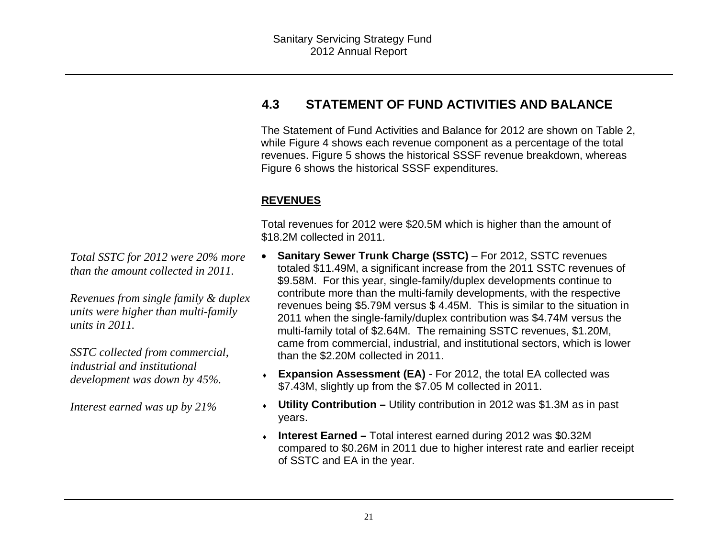### **4.3 STATEMENT OF FUND ACTIVITIES AND BALANCE**

The Statement of Fund Activities and Balance for 2012 are shown on Table 2, while Figure 4 shows each revenue component as a percentage of the total revenues. Figure 5 shows the historical SSSF revenue breakdown, whereas Figure 6 shows the historical SSSF expenditures.

### **REVENUES**

Total revenues for 2012 were \$20.5M which is higher than the amount of \$18.2M collected in 2011.

- $\bullet$  **Sanitary Sewer Trunk Charge (SSTC)** – For 2012, SSTC revenues totaled \$11.49M, a significant increase from the 2011 SSTC revenues of \$9.58M. For this year, single-family/duplex developments continue to contribute more than the multi-family developments, with the respective revenues being \$5.79M versus \$ 4.45M. This is similar to the situation in 2011 when the single-family/duplex contribution was \$4.74M versus the multi-family total of \$2.64M. The remaining SSTC revenues, \$1.20M, came from commercial, industrial, and institutional sectors, which is lower than the \$2.20M collected in 2011.
- **Expansion Assessment (EA)** For 2012, the total EA collected was \$7.43M, slightly up from the \$7.05 M collected in 2011.
- **Utility Contribution** Utility contribution in 2012 was \$1.3M as in past years.
- **Interest Earned** Total interest earned during 2012 was \$0.32M compared to \$0.26M in 2011 due to higher interest rate and earlier receipt of SSTC and EA in the year.

*Total SSTC for 2012 were 20% more than the amount collected in 2011.* 

*Revenues from single family & duplex units were higher than multi-family units in 2011.* 

*SSTC collected from commercial, industrial and institutional development was down by 45%.* 

*Interest earned was up by 21%*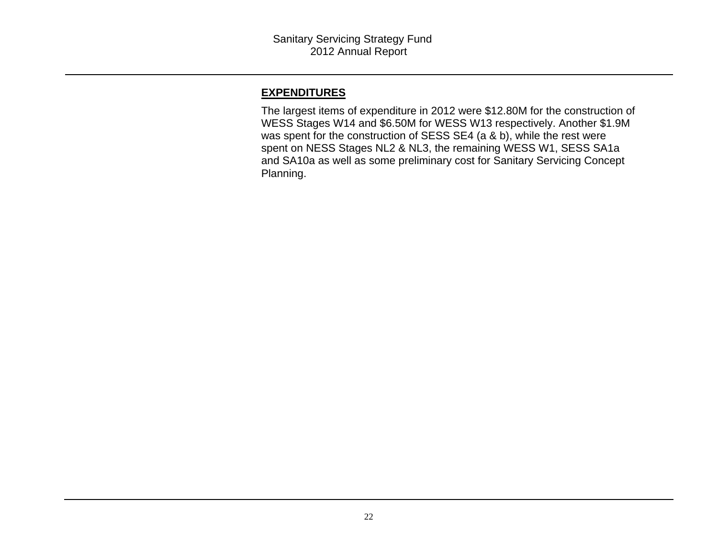#### **EXPENDITURES**

The largest items of expenditure in 2012 were \$12.80M for the construction of WESS Stages W14 and \$6.50M for WESS W13 respectively. Another \$1.9M was spent for the construction of SESS SE4 (a & b), while the rest were spent on NESS Stages NL2 & NL3, the remaining WESS W1, SESS SA1a and SA10a as well as some preliminary cost for Sanitary Servicing Concept Planning.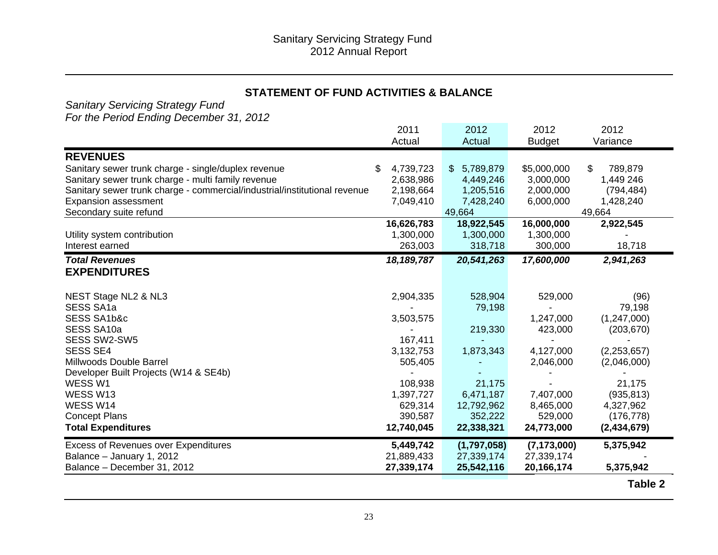#### **STATEMENT OF FUND ACTIVITIES & BALANCE**

*Sanitary Servicing Strategy Fund* 

*For the Period Ending December 31, 2012*

|                                                                           | 2011            | 2012                      | 2012          | 2012          |
|---------------------------------------------------------------------------|-----------------|---------------------------|---------------|---------------|
|                                                                           | Actual          | Actual                    | <b>Budget</b> | Variance      |
| <b>REVENUES</b>                                                           |                 |                           |               |               |
| Sanitary sewer trunk charge - single/duplex revenue                       | \$<br>4,739,723 | 5,789,879<br>$\mathbb{S}$ | \$5,000,000   | \$<br>789,879 |
| Sanitary sewer trunk charge - multi family revenue                        | 2,638,986       | 4,449,246                 | 3,000,000     | 1,449 246     |
| Sanitary sewer trunk charge - commercial/industrial/institutional revenue | 2,198,664       | 1,205,516                 | 2,000,000     | (794, 484)    |
| <b>Expansion assessment</b>                                               | 7,049,410       | 7,428,240                 | 6,000,000     | 1,428,240     |
| Secondary suite refund                                                    |                 | 49,664                    |               | 49,664        |
|                                                                           | 16,626,783      | 18,922,545                | 16,000,000    | 2,922,545     |
| Utility system contribution                                               | 1,300,000       | 1,300,000                 | 1,300,000     |               |
| Interest earned                                                           | 263,003         | 318,718                   | 300,000       | 18,718        |
| <b>Total Revenues</b>                                                     | 18, 189, 787    | 20,541,263                | 17,600,000    | 2,941,263     |
| <b>EXPENDITURES</b>                                                       |                 |                           |               |               |
|                                                                           |                 |                           |               |               |
| NEST Stage NL2 & NL3                                                      | 2,904,335       | 528,904                   | 529,000       | (96)          |
| <b>SESS SA1a</b>                                                          |                 | 79,198                    |               | 79,198        |
| SESS SA1b&c                                                               | 3,503,575       |                           | 1,247,000     | (1,247,000)   |
| SESS SA10a                                                                |                 | 219,330                   | 423,000       | (203, 670)    |
| SESS SW2-SW5                                                              | 167,411         |                           |               |               |
| <b>SESS SE4</b>                                                           | 3,132,753       | 1,873,343                 | 4,127,000     | (2, 253, 657) |
| Millwoods Double Barrel                                                   | 505,405         |                           | 2,046,000     | (2,046,000)   |
| Developer Built Projects (W14 & SE4b)                                     |                 |                           |               |               |
| WESS W1                                                                   | 108,938         | 21,175                    |               | 21,175        |
| WESS W13                                                                  | 1,397,727       | 6,471,187                 | 7,407,000     | (935, 813)    |
| WESS W14                                                                  | 629,314         | 12,792,962                | 8,465,000     | 4,327,962     |
| <b>Concept Plans</b>                                                      | 390,587         | 352,222                   | 529,000       | (176, 778)    |
| <b>Total Expenditures</b>                                                 | 12,740,045      | 22,338,321                | 24,773,000    | (2,434,679)   |
| <b>Excess of Revenues over Expenditures</b>                               | 5,449,742       | (1,797,058)               | (7, 173, 000) | 5,375,942     |
| Balance - January 1, 2012                                                 | 21,889,433      | 27,339,174                | 27,339,174    |               |
| Balance - December 31, 2012                                               | 27,339,174      | 25,542,116                | 20,166,174    | 5,375,942     |
|                                                                           |                 |                           |               | Table 2       |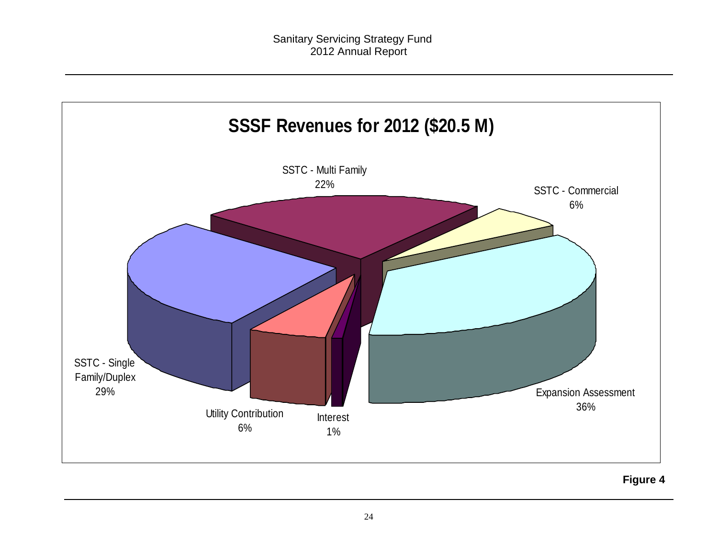

**Figure 4**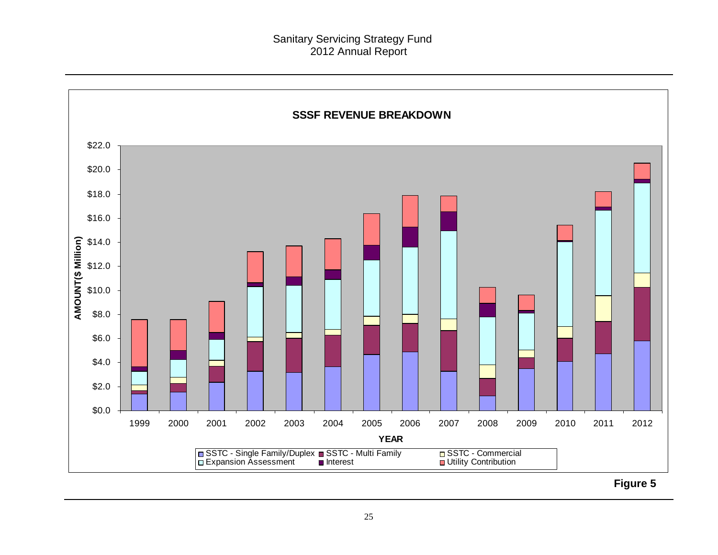

**Figure 5**